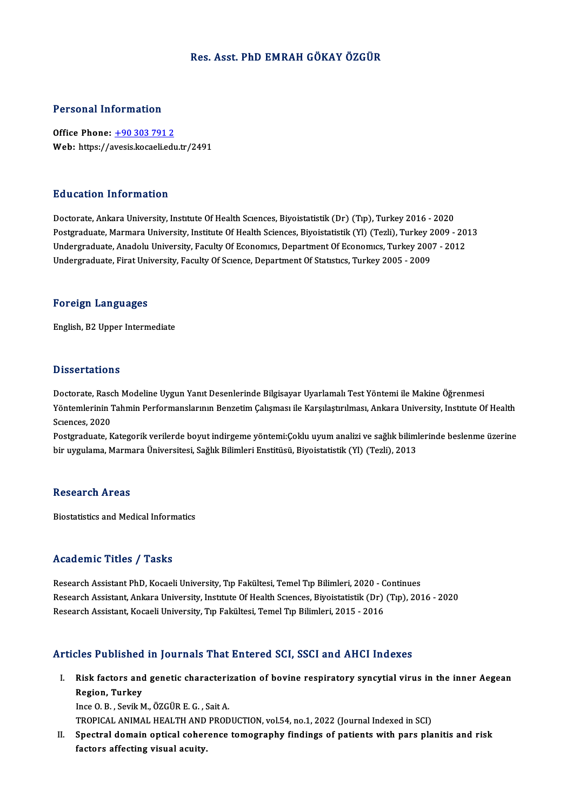## Res. Asst. PhD EMRAHGÖKAY ÖZGÜR

## Personal Information

Office Phone:  $+903037912$ Web: https://a[vesis.kocaeli.edu](tel:+90 303 791 2).tr/2491

### Education Information

Doctorate, Ankara University, Institute Of Health Sciences, Biyoistatistik (Dr) (Tip), Turkey 2016 - 2020 Postgraduate, Marmara University, Institute Of Health Sciences, Biyoistatistik (Yl) (Tezli), Turkey 2009 - 2013 Doctorate, Ankara University, Institute Of Health Sciences, Biyoistatistik (Dr) (Tıp), Turkey 2016 - 2020<br>Postgraduate, Marmara University, Institute Of Health Sciences, Biyoistatistik (Yl) (Tezli), Turkey 2009 - 20<br>Underg Postgraduate, Marmara University, Institute Of Health Sciences, Biyoistatistik (Yl) (Tezli), Turkey 2<br>Undergraduate, Anadolu University, Faculty Of Economics, Department Of Economics, Turkey 200<br>Undergraduate, Firat Univer Undergraduate, Firat University, Faculty Of Science, Department Of Statistics, Turkey 2005 - 2009<br>Foreign Languages

English,B2Upper Intermediate

#### **Dissertations**

Dissertations<br>Doctorate, Rasch Modeline Uygun Yanıt Desenlerinde Bilgisayar Uyarlamalı Test Yöntemi ile Makine Öğrenmesi<br>Yöntemlerinin Tahmin Berformanslarının Benzetim Calisması ile Karsılastırılması, Ankara University In D'isses tationis<br>Doctorate, Rasch Modeline Uygun Yanıt Desenlerinde Bilgisayar Uyarlamalı Test Yöntemi ile Makine Öğrenmesi<br>Yöntemlerinin Tahmin Performanslarının Benzetim Çalışması ile Karşılaştırılması, Ankara University Doctorate, Rasc<br>Yöntemlerinin 1<br>Sciences, 2020<br>Postareduate, K Yöntemlerinin Tahmin Performanslarının Benzetim Çalışması ile Karşılaştırılması, Ankara University, Institute Of Health<br>Sciences, 2020<br>Postgraduate, Kategorik verilerde boyut indirgeme yöntemi:Çoklu uyum analizi ve sağlık

Scıences, 2020<br>Postgraduate, Kategorik verilerde boyut indirgeme yöntemi:Çoklu uyum analizi ve sağlık biliml<br>bir uygulama, Marmara Üniversitesi, Sağlık Bilimleri Enstitüsü, Biyoistatistik (Yl) (Tezli), 2013 bir uygulama, Marmara Üniversitesi, Sağlık Bilimleri Enstitüsü, Biyoistatistik (Yl) (Tezli), 2013<br>Research Areas

Biostatistics and Medical Informatics

### Academic Titles / Tasks

Academic Titles / Tasks<br>Research Assistant PhD, Kocaeli University, Tıp Fakültesi, Temel Tıp Bilimleri, 2020 - Continues<br>Besearch Assistant, Ankara University, Institute Of Health Scunses, Biyoistatistik (Dr.) (Tın), 201 Research Assistant, Ankara University, Institute Of Health Sciences, Biyoistatistik (Dr) (Tip), 2016 - 2020<br>Research Assistant, Kocaeli University, Tip Fakültesi, Temel Tip Bilimleri, 2015 - 2016 Research Assistant PhD, Kocaeli University, Tıp Fakültesi, Temel Tıp Bilimleri, 2020 - C<br>Research Assistant, Ankara University, Institute Of Health Sciences, Biyoistatistik (Dr)<br>Research Assistant, Kocaeli University, Tıp

## Articles Published in Journals That Entered SCI, SSCI and AHCI Indexes

rticles Published in Journals That Entered SCI, SSCI and AHCI Indexes<br>I. Risk factors and genetic characterization of bovine respiratory syncytial virus in the inner Aegean<br>Region Turkey Risk factors and<br>Risk factors and<br>Region, Turkey<br>Ince O.B., Sovik N Risk factors and genetic characteri:<br>Region, Turkey<br>Ince O. B. , Sevik M., ÖZGÜR E. G. , Sait A.<br>TROPICAL ANIMAL HEALTH AND PROP Region, Turkey<br>Ince O. B. , Sevik M., ÖZGÜR E. G. , Sait A.<br>TROPICAL ANIMAL HEALTH AND PRODUCTION, vol.54, no.1, 2022 (Journal Indexed in SCI)<br>Spectral demain entical seberence temegraphy findings of patients with pars ple

Ince O. B. , Sevik M., ÖZGÜR E. G. , Sait A.<br>TROPICAL ANIMAL HEALTH AND PRODUCTION, vol.54, no.1, 2022 (Journal Indexed in SCI)<br>II. Spectral domain optical coherence tomography findings of patients with pars planitis and r TROPICAL ANIMAL HEALTH AND<br>Spectral domain optical coher<br>factors affecting visual acuity.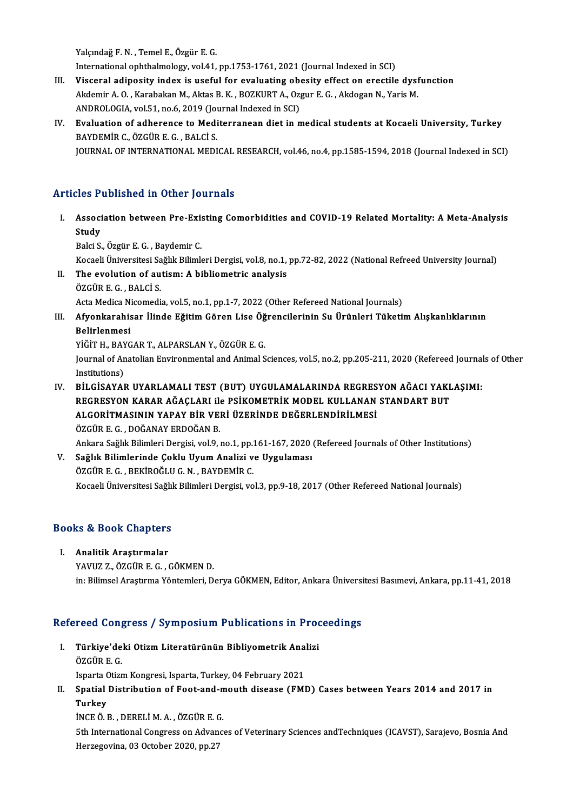Yalçındağ F.N. ,TemelE.,Özgür E.G.

International ophthalmology, vol.41, pp.1753-1761, 2021 (Journal Indexed in SCI)

- III. Visceral adiposity index is useful for evaluating obesity effect on erectile dysfunction International ophthalmology, vol.41, pp.1753-1761, 2021 (Journal Indexed in SCI)<br>Visceral adiposity index is useful for evaluating obesity effect on erectile dysf<br>Akdemir A. O. , Karabakan M., Aktas B. K. , BOZKURT A., Ozg Visceral adiposity index is useful for evaluating ob<br>Akdemir A. O., Karabakan M., Aktas B. K., BOZKURT A., Oz<sub>{</sub><br>ANDROLOGIA, vol.51, no.6, 2019 (Journal Indexed in SCI)<br>Evaluation of adharanse to Moditerranean diet in n ANDROLOGIA, vol.51, no.6, 2019 (Journal Indexed in SCI)
- IV. Evaluation of adherence to Mediterranean diet in medical students at Kocaeli University, Turkey<br>BAYDEMİR C., ÖZGÜR E. G., BALCİ S. JOURNAL OF INTERNATIONAL MEDICAL RESEARCH, vol.46, no.4, pp.1585-1594, 2018 (Journal Indexed in SCI)

# Articles Published in Other Journals

rticles Published in Other Journals<br>I. Association between Pre-Existing Comorbidities and COVID-19 Related Mortality: A Meta-Analysis<br>Study Associ<br>Associ<br>Study<br><sup>Bolgi S</sup> Association between Pre-Exis<br>Study<br>Balci S., Özgür E. G. , Baydemir C.<br>Kosaali Üniversitesi Seğlık Bilimle

Study<br>Balci S., Özgür E. G. , Baydemir C.<br>Kocaeli Üniversitesi Sağlık Bilimleri Dergisi, vol.8, no.1, pp.72-82, 2022 (National Refreed University Journal)<br>The evelution of autiom: A bibliometris analysis Balci S., Özgür E. G. , Baydemir C.<br>Kocaeli Üniversitesi Sağlık Bilimleri Dergisi, vol.8, no.1,<br>II. The evolution of autism: A bibliometric analysis<br>ÖZGÜR E. G. , BALCİ S.

Kocaeli Üniversitesi Sa<br>The evolution of au<br>ÖZGÜR E. G. , BALCİ S.<br>Asta Madiaa Nisamadi

Acta Medica Nicomedia, vol.5, no.1, pp.1-7, 2022 (Other Refereed National Journals)

ÖZGÜR E. G. , BALCİ S.<br>Acta Medica Nicomedia, vol.5, no.1, pp.1-7, 2022 (Other Refereed National Journals)<br>III. Afyonkarahisar İlinde Eğitim Gören Lise Öğrencilerinin Su Ürünleri Tüketim Alışkanlıklarının<br>Religlenmesi Acta Medica Ni<br><mark>Afyonkarahis</mark><br>Belirlenmesi<br>vičir u PAVC Afyonkarahisar İlinde Eğitim Gören Lise Öğ<br>Belirlenmesi<br>YİĞİT H., BAYGAR T., ALPARSLAN Y., ÖZGÜR E. G.<br>Journal of Anatalian Environmental and Animal S

Belirlenmesi<br>YİĞİT H., BAYGAR T., ALPARSLAN Y., ÖZGÜR E. G.<br>Journal of Anatolian Environmental and Animal Sciences, vol.5, no.2, pp.205-211, 2020 (Refereed Journals of Other<br>Institutions) **YİĞİT H., BAY**<br>Journal of Ar<br>Institutions)<br>Pir Cisavar Iournal of Anatolian Environmental and Animal Sciences, vol.5, no.2, pp.205-211, 2020 (Refereed Journal Institutions)<br>IV. BİLGİSAYAR UYARLAMALI TEST (BUT) UYGULAMALARINDA REGRESYON AĞACI YAKLAŞIMI:<br>BECRESYON KARAR AĞACI AR

Institutions)<br>BİLGİSAYAR UYARLAMALI TEST (BUT) UYGULAMALARINDA REGRESYON AĞACI YAKL<br>REGRESYON KARAR AĞAÇLARI ile PSİKOMETRİK MODEL KULLANAN STANDART BUT<br>ALCORİTMASININ YARAY RİR VERİ ÜZERİNDE DEĞERI ENDİRLI MESİ BİLGİSAYAR UYARLAMALI TEST (BUT) UYGULAMALARINDA REGRES<br>REGRESYON KARAR AĞAÇLARI ile PSİKOMETRİK MODEL KULLANAN<br>ALGORİTMASININ YAPAY BİR VERİ ÜZERİNDE DEĞERLENDİRİLMESİ<br>ÖZCÜP E.G. DOĞANAY ERDOĞAN B REGRESYON KARAR AĞAÇLARI ile PSİKOMETRİK MODEL KULLANAN STANDART BUT<br>ALGORİTMASININ YAPAY BİR VERİ ÜZERİNDE DEĞERLENDİRİLMESİ<br>ÖZGÜR E. G. , DOĞANAY ERDOĞAN B. ÖZGÜR E. G. , DOĞANAY ERDOĞAN B.<br>Ankara Sağlık Bilimleri Dergisi, vol.9, no.1, pp.161-167, 2020<br>V. Sağlık Bilimlerinde Çoklu Uyum Analizi ve Uygulaması<br>ÖZGÜR E.G. BEKİROĞLU G.N. BAYDEMİR G.

Ankara Sağlık Bilimleri Dergisi, vol.9, no.1, pp.161-167, 2020 (Refereed Journals of Other Institutions)

Ankara Sağlık Bilimleri Dergisi, vol.9, no.1, pp.:<br>Sağlık Bilimlerinde Çoklu Uyum Analizi v<br>ÖZGÜR E. G. , BEKİROĞLU G. N. , BAYDEMİR C.<br>Kosaali Üniversitesi Sağlık Bilimleri Dergisi, vo ÖZGÜR E. G. , BEKİROĞLU G. N. , BAYDEMİR C.<br>Kocaeli Üniversitesi Sağlık Bilimleri Dergisi, vol.3, pp.9-18, 2017 (Other Refereed National Journals)

# kocaen universitesi sagin<br>Books & Book Chapters

OOKS & BOOK Chapters<br>I. Analitik Araştırmalar<br>VAVUZ Z. ÖZCÜB E.C. ( I. Analitik Araştırmalar<br>YAVUZ Z., ÖZGÜR E. G., GÖKMEN D. in:BilimselAraştırmaYöntemleri,DeryaGÖKMEN,Editor,AnkaraÜniversitesiBasımevi,Ankara,pp.11-41,2018

# Refereed Congress / Symposium Publications in Proceedings

efereed Congress / Symposium Publications in Prod<br>I. Türkiye'deki Otizm Literatürünün Bibliyometrik Analizi<br>ÖZCÜP E.C Türkiye'de<br>Türkiye'de<br>ÖZGÜR E. G. Türkiye'deki Otizm Literatürünün Bibliyometrik Ana<br>ÖZGÜR E. G.<br>Isparta Otizm Kongresi, Isparta, Turkey, 04 February 2021<br>Spatial Distribution of Foot and mouth disease (FMI

ÖZGÜR E. G.<br>Isparta Otizm Kongresi, Isparta, Turkey, 04 February 2021<br>II. Spatial Distribution of Foot-and-mouth disease (FMD) Cases between Years 2014 and 2017 in<br>Turkey Isparta (<br><mark>Spatial</mark><br>Turkey<br>i<sup>NCE Ö 1</sup> Spatial Distribution of Foot-and-m<br>Turkey<br>İNCE Ö. B. , DERELİ M. A. , ÖZGÜR E. G.<br>Eth International Congress on Advancı

iNCE Ö. B., DERELI M. A., ÖZGÜR E. G.

Turkey<br>İNCE Ö. B. , DERELİ M. A. , ÖZGÜR E. G.<br>5th International Congress on Advances of Veterinary Sciences andTechniques (ICAVST), Sarajevo, Bosnia And<br>Herzegovina, 03 October 2020, pp.27